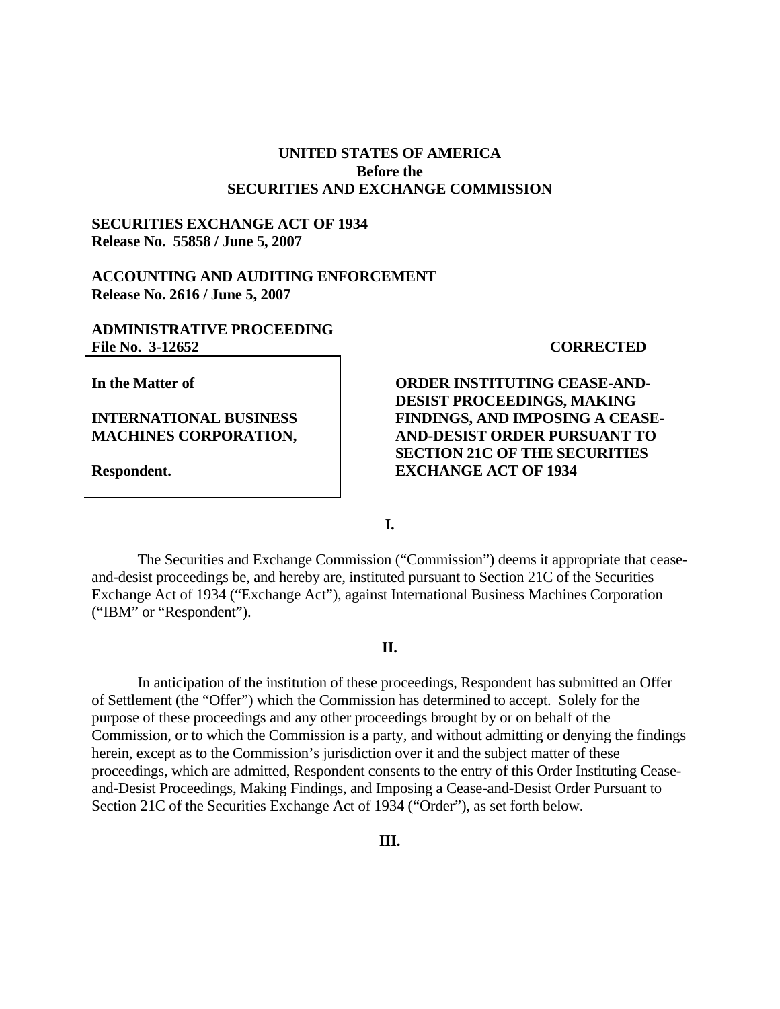# **UNITED STATES OF AMERICA Before the SECURITIES AND EXCHANGE COMMISSION**

## **SECURITIES EXCHANGE ACT OF 1934 Release No. 55858 / June 5, 2007**

#### **ACCOUNTING AND AUDITING ENFORCEMENT Release No. 2616 / June 5, 2007**

#### **ADMINISTRATIVE PROCEEDING**  File No. 3-12652 **CORRECTED**

**In the Matter of** 

## **INTERNATIONAL BUSINESS MACHINES CORPORATION,**

**Respondent.** 

**ORDER INSTITUTING CEASE-AND-DESIST PROCEEDINGS, MAKING FINDINGS, AND IMPOSING A CEASE-AND-DESIST ORDER PURSUANT TO SECTION 21C OF THE SECURITIES EXCHANGE ACT OF 1934** 

**I.**

 The Securities and Exchange Commission ("Commission") deems it appropriate that ceaseand-desist proceedings be, and hereby are, instituted pursuant to Section 21C of the Securities Exchange Act of 1934 ("Exchange Act"), against International Business Machines Corporation ("IBM" or "Respondent").

#### **II.**

 In anticipation of the institution of these proceedings, Respondent has submitted an Offer of Settlement (the "Offer") which the Commission has determined to accept. Solely for the purpose of these proceedings and any other proceedings brought by or on behalf of the Commission, or to which the Commission is a party, and without admitting or denying the findings herein, except as to the Commission's jurisdiction over it and the subject matter of these proceedings, which are admitted, Respondent consents to the entry of this Order Instituting Ceaseand-Desist Proceedings, Making Findings, and Imposing a Cease-and-Desist Order Pursuant to Section 21C of the Securities Exchange Act of 1934 ("Order"), as set forth below.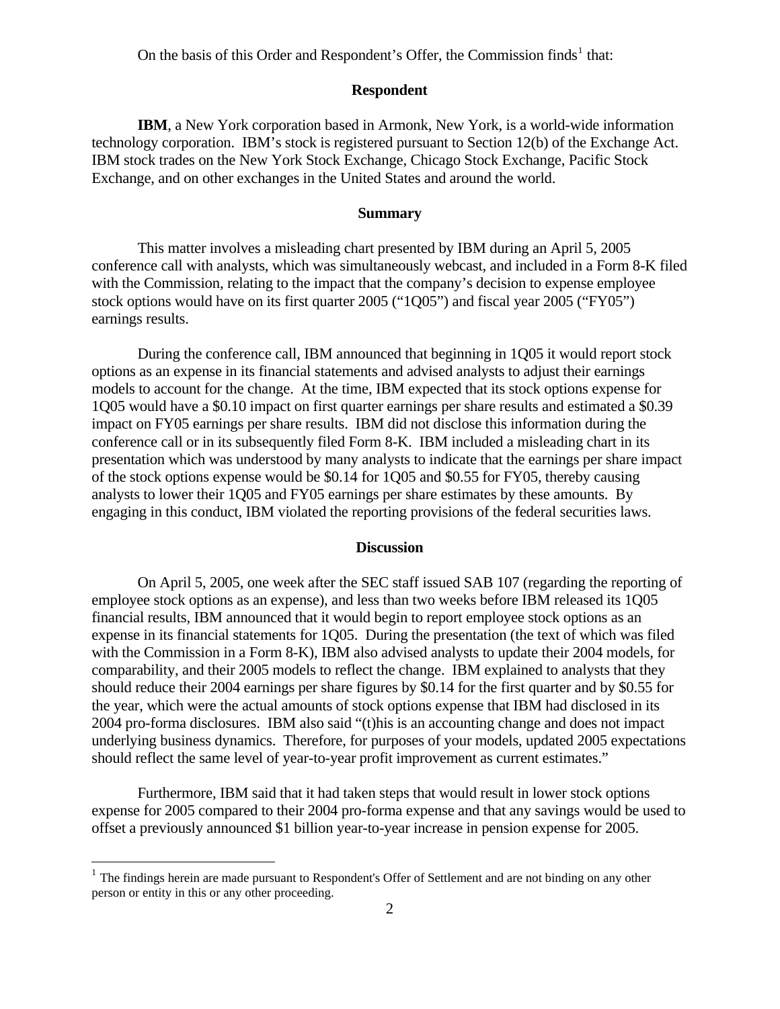On the basis of this Order and Respondent's Offer, the Commission finds<sup>[1](#page-1-0)</sup> that:

#### **Respondent**

**IBM**, a New York corporation based in Armonk, New York, is a world-wide information technology corporation. IBM's stock is registered pursuant to Section 12(b) of the Exchange Act. IBM stock trades on the New York Stock Exchange, Chicago Stock Exchange, Pacific Stock Exchange, and on other exchanges in the United States and around the world.

#### **Summary**

 This matter involves a misleading chart presented by IBM during an April 5, 2005 conference call with analysts, which was simultaneously webcast, and included in a Form 8-K filed with the Commission, relating to the impact that the company's decision to expense employee stock options would have on its first quarter 2005 ("1Q05") and fiscal year 2005 ("FY05") earnings results.

 During the conference call, IBM announced that beginning in 1Q05 it would report stock options as an expense in its financial statements and advised analysts to adjust their earnings models to account for the change. At the time, IBM expected that its stock options expense for 1Q05 would have a \$0.10 impact on first quarter earnings per share results and estimated a \$0.39 impact on FY05 earnings per share results. IBM did not disclose this information during the conference call or in its subsequently filed Form 8-K. IBM included a misleading chart in its presentation which was understood by many analysts to indicate that the earnings per share impact of the stock options expense would be \$0.14 for 1Q05 and \$0.55 for FY05, thereby causing analysts to lower their 1Q05 and FY05 earnings per share estimates by these amounts. By engaging in this conduct, IBM violated the reporting provisions of the federal securities laws.

## **Discussion**

 On April 5, 2005, one week after the SEC staff issued SAB 107 (regarding the reporting of employee stock options as an expense), and less than two weeks before IBM released its 1Q05 financial results, IBM announced that it would begin to report employee stock options as an expense in its financial statements for 1Q05. During the presentation (the text of which was filed with the Commission in a Form 8-K), IBM also advised analysts to update their 2004 models, for comparability, and their 2005 models to reflect the change. IBM explained to analysts that they should reduce their 2004 earnings per share figures by \$0.14 for the first quarter and by \$0.55 for the year, which were the actual amounts of stock options expense that IBM had disclosed in its 2004 pro-forma disclosures. IBM also said "(t)his is an accounting change and does not impact underlying business dynamics. Therefore, for purposes of your models, updated 2005 expectations should reflect the same level of year-to-year profit improvement as current estimates."

 Furthermore, IBM said that it had taken steps that would result in lower stock options expense for 2005 compared to their 2004 pro-forma expense and that any savings would be used to offset a previously announced \$1 billion year-to-year increase in pension expense for 2005.

 $\overline{a}$ 

<span id="page-1-0"></span><sup>&</sup>lt;sup>1</sup> The findings herein are made pursuant to Respondent's Offer of Settlement and are not binding on any other person or entity in this or any other proceeding.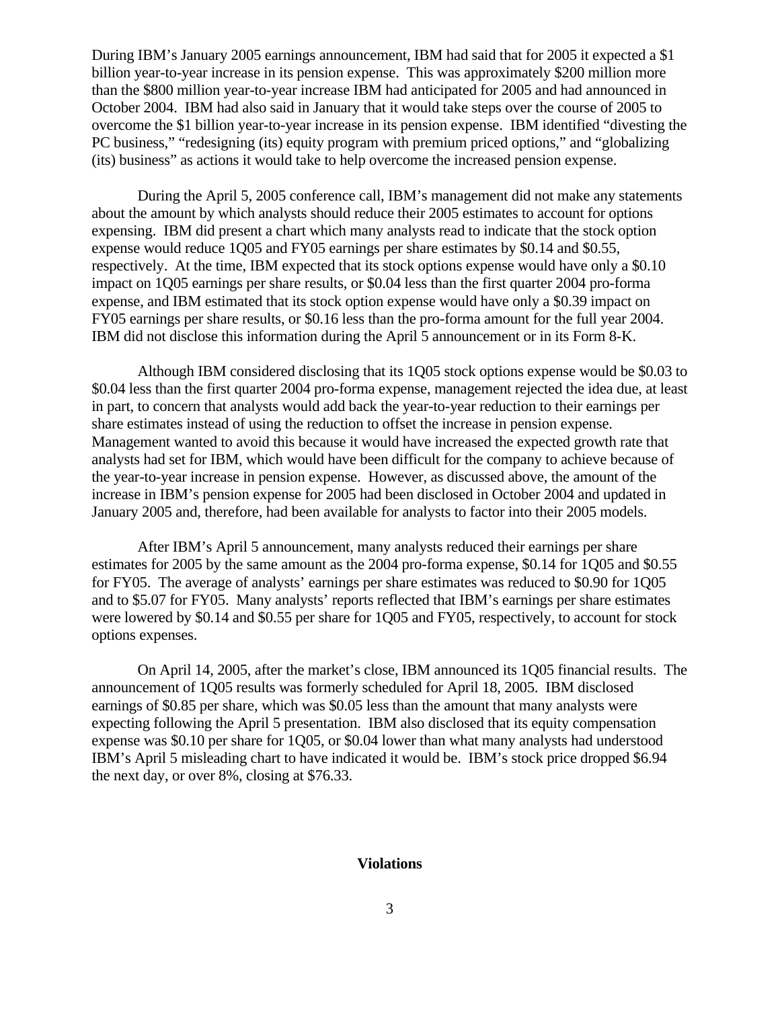During IBM's January 2005 earnings announcement, IBM had said that for 2005 it expected a \$1 billion year-to-year increase in its pension expense. This was approximately \$200 million more than the \$800 million year-to-year increase IBM had anticipated for 2005 and had announced in October 2004. IBM had also said in January that it would take steps over the course of 2005 to overcome the \$1 billion year-to-year increase in its pension expense. IBM identified "divesting the PC business," "redesigning (its) equity program with premium priced options," and "globalizing (its) business" as actions it would take to help overcome the increased pension expense.

 During the April 5, 2005 conference call, IBM's management did not make any statements about the amount by which analysts should reduce their 2005 estimates to account for options expensing. IBM did present a chart which many analysts read to indicate that the stock option expense would reduce 1Q05 and FY05 earnings per share estimates by \$0.14 and \$0.55, respectively. At the time, IBM expected that its stock options expense would have only a \$0.10 impact on 1Q05 earnings per share results, or \$0.04 less than the first quarter 2004 pro-forma expense, and IBM estimated that its stock option expense would have only a \$0.39 impact on FY05 earnings per share results, or \$0.16 less than the pro-forma amount for the full year 2004. IBM did not disclose this information during the April 5 announcement or in its Form 8-K.

Although IBM considered disclosing that its 1Q05 stock options expense would be \$0.03 to \$0.04 less than the first quarter 2004 pro-forma expense, management rejected the idea due, at least in part, to concern that analysts would add back the year-to-year reduction to their earnings per share estimates instead of using the reduction to offset the increase in pension expense. Management wanted to avoid this because it would have increased the expected growth rate that analysts had set for IBM, which would have been difficult for the company to achieve because of the year-to-year increase in pension expense. However, as discussed above, the amount of the increase in IBM's pension expense for 2005 had been disclosed in October 2004 and updated in January 2005 and, therefore, had been available for analysts to factor into their 2005 models.

 After IBM's April 5 announcement, many analysts reduced their earnings per share estimates for 2005 by the same amount as the 2004 pro-forma expense, \$0.14 for 1Q05 and \$0.55 for FY05. The average of analysts' earnings per share estimates was reduced to \$0.90 for 1Q05 and to \$5.07 for FY05. Many analysts' reports reflected that IBM's earnings per share estimates were lowered by \$0.14 and \$0.55 per share for 1005 and FY05, respectively, to account for stock options expenses.

 On April 14, 2005, after the market's close, IBM announced its 1Q05 financial results. The announcement of 1Q05 results was formerly scheduled for April 18, 2005. IBM disclosed earnings of \$0.85 per share, which was \$0.05 less than the amount that many analysts were expecting following the April 5 presentation. IBM also disclosed that its equity compensation expense was \$0.10 per share for 1Q05, or \$0.04 lower than what many analysts had understood IBM's April 5 misleading chart to have indicated it would be. IBM's stock price dropped \$6.94 the next day, or over 8%, closing at \$76.33.

#### **Violations**